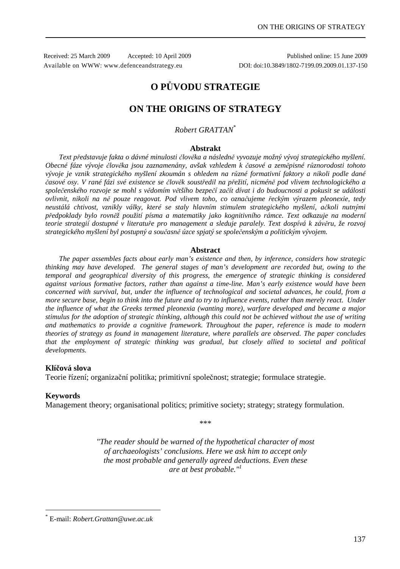Received: 25 March 2009 Accepted: 10 April 2009 Published online: 15 June 2009 Available on WWW: www.defenceandstrategy.eu DOI: doi:10.3849/1802-7199.09.2009.01.137-150

# **O PŮVODU STRATEGIE**

## **ON THE ORIGINS OF STRATEGY**

*Robert GRATTAN*\*

#### **Abstrakt**

*Text představuje fakta o dávné minulosti člověka a následně vyvozuje možný vývoj strategického myšlení. Obecné fáze vývoje člověka jsou zaznamenány, avšak vzhledem k časové a zeměpisné různorodosti tohoto vývoje je vznik strategického myšlení zkoumán s ohledem na různé formativní faktory a nikoli podle dané časové osy. V rané fázi své existence se člověk soustředil na přežití, nicméně pod vlivem technologického a společenského rozvoje se mohl s vědomím většího bezpečí začít dívat i do budoucnosti a pokusit se události ovlivnit, nikoli na ně pouze reagovat. Pod vlivem toho, co označujeme řeckým výrazem pleonexie, tedy neustálá chtivost, vznikly války, které se staly hlavním stimulem strategického myšlení, ačkoli nutnými předpoklady bylo rovněž použití písma a matematiky jako kognitivního rámce. Text odkazuje na moderní teorie strategií dostupné v literatuře pro management a sleduje paralely. Text dospívá k závěru, že rozvoj strategického myšlení byl postupný a současně úzce spjatý se společenským a politickým vývojem.* 

#### **Abstract**

*The paper assembles facts about early man's existence and then, by inference, considers how strategic thinking may have developed. The general stages of man's development are recorded but, owing to the temporal and geographical diversity of this progress, the emergence of strategic thinking is considered against various formative factors, rather than against a time-line. Man's early existence would have been concerned with survival, but, under the influence of technological and societal advances, he could, from a more secure base, begin to think into the future and to try to influence events, rather than merely react. Under the influence of what the Greeks termed pleonexia (wanting more), warfare developed and became a major stimulus for the adoption of strategic thinking, although this could not be achieved without the use of writing and mathematics to provide a cognitive framework. Throughout the paper, reference is made to modern theories of strategy as found in management literature, where parallels are observed. The paper concludes that the employment of strategic thinking was gradual, but closely allied to societal and political developments.* 

#### **Klíčová slova**

Teorie řízení; organizační politika; primitivní společnost; strategie; formulace strategie.

#### **Keywords**

 $\overline{a}$ 

Management theory; organisational politics; primitive society; strategy; strategy formulation.

\*\*\*

*"The reader should be warned of the hypothetical character of most of archaeologists' conclusions. Here we ask him to accept only the most probable and generally agreed deductions. Even these are at best probable."<sup>1</sup>*

<sup>\*</sup> E-mail: *Robert.Grattan@uwe.ac.uk*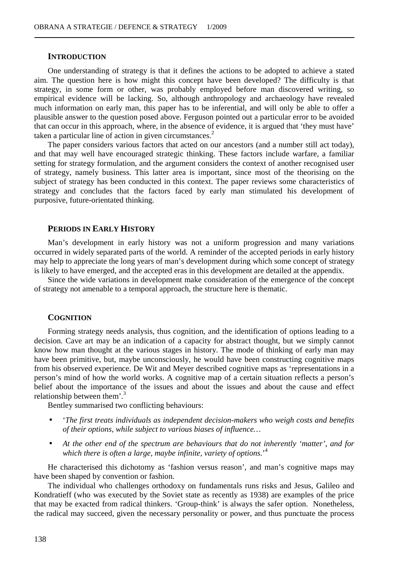#### **INTRODUCTION**

One understanding of strategy is that it defines the actions to be adopted to achieve a stated aim. The question here is how might this concept have been developed? The difficulty is that strategy, in some form or other, was probably employed before man discovered writing, so empirical evidence will be lacking. So, although anthropology and archaeology have revealed much information on early man, this paper has to be inferential, and will only be able to offer a plausible answer to the question posed above. Ferguson pointed out a particular error to be avoided that can occur in this approach, where, in the absence of evidence, it is argued that 'they must have' taken a particular line of action in given circumstances. $2$ 

The paper considers various factors that acted on our ancestors (and a number still act today), and that may well have encouraged strategic thinking. These factors include warfare, a familiar setting for strategy formulation, and the argument considers the context of another recognised user of strategy, namely business. This latter area is important, since most of the theorising on the subject of strategy has been conducted in this context. The paper reviews some characteristics of strategy and concludes that the factors faced by early man stimulated his development of purposive, future-orientated thinking.

#### **PERIODS IN EARLY HISTORY**

Man's development in early history was not a uniform progression and many variations occurred in widely separated parts of the world. A reminder of the accepted periods in early history may help to appreciate the long years of man's development during which some concept of strategy is likely to have emerged, and the accepted eras in this development are detailed at the appendix.

Since the wide variations in development make consideration of the emergence of the concept of strategy not amenable to a temporal approach, the structure here is thematic.

#### **COGNITION**

Forming strategy needs analysis, thus cognition, and the identification of options leading to a decision. Cave art may be an indication of a capacity for abstract thought, but we simply cannot know how man thought at the various stages in history. The mode of thinking of early man may have been primitive, but, maybe unconsciously, he would have been constructing cognitive maps from his observed experience. De Wit and Meyer described cognitive maps as 'representations in a person's mind of how the world works. A cognitive map of a certain situation reflects a person's belief about the importance of the issues and about the issues and about the cause and effect relationship between them'.<sup>3</sup>

Bentley summarised two conflicting behaviours:

- '*The first treats individuals as independent decision-makers who weigh costs and benefits of their options, while subject to various biases of influence…*
- *At the other end of the spectrum are behaviours that do not inherently 'matter', and for which there is often a large, maybe infinite, variety of options*.'<sup>4</sup>

He characterised this dichotomy as 'fashion versus reason', and man's cognitive maps may have been shaped by convention or fashion.

The individual who challenges orthodoxy on fundamentals runs risks and Jesus, Galileo and Kondratieff (who was executed by the Soviet state as recently as 1938) are examples of the price that may be exacted from radical thinkers. 'Group-think' is always the safer option. Nonetheless, the radical may succeed, given the necessary personality or power, and thus punctuate the process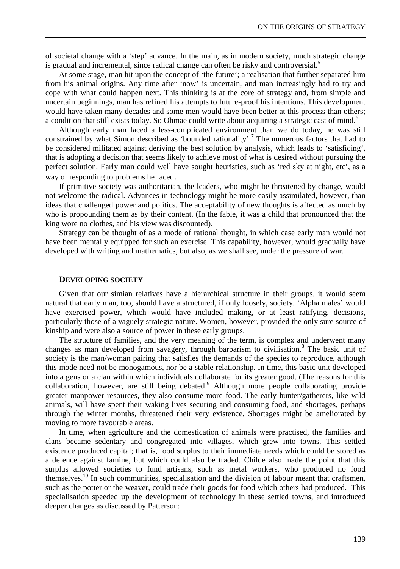of societal change with a 'step' advance. In the main, as in modern society, much strategic change is gradual and incremental, since radical change can often be risky and controversial.<sup>5</sup>

At some stage, man hit upon the concept of 'the future'; a realisation that further separated him from his animal origins. Any time after 'now' is uncertain, and man increasingly had to try and cope with what could happen next. This thinking is at the core of strategy and, from simple and uncertain beginnings, man has refined his attempts to future-proof his intentions. This development would have taken many decades and some men would have been better at this process than others; a condition that still exists today. So Ohmae could write about acquiring a strategic cast of mind.<sup>6</sup>

Although early man faced a less-complicated environment than we do today, he was still constrained by what Simon described as 'bounded rationality'.<sup>7</sup> The numerous factors that had to be considered militated against deriving the best solution by analysis, which leads to 'satisficing', that is adopting a decision that seems likely to achieve most of what is desired without pursuing the perfect solution. Early man could well have sought heuristics, such as 'red sky at night, etc', as a way of responding to problems he faced.

If primitive society was authoritarian, the leaders, who might be threatened by change, would not welcome the radical. Advances in technology might be more easily assimilated, however, than ideas that challenged power and politics. The acceptability of new thoughts is affected as much by who is propounding them as by their content. (In the fable, it was a child that pronounced that the king wore no clothes, and his view was discounted).

Strategy can be thought of as a mode of rational thought, in which case early man would not have been mentally equipped for such an exercise. This capability, however, would gradually have developed with writing and mathematics, but also, as we shall see, under the pressure of war.

#### **DEVELOPING SOCIETY**

Given that our simian relatives have a hierarchical structure in their groups, it would seem natural that early man, too, should have a structured, if only loosely, society. 'Alpha males' would have exercised power, which would have included making, or at least ratifying, decisions, particularly those of a vaguely strategic nature. Women, however, provided the only sure source of kinship and were also a source of power in these early groups.

The structure of families, and the very meaning of the term, is complex and underwent many changes as man developed from savagery, through barbarism to civilisation.<sup>8</sup> The basic unit of society is the man/woman pairing that satisfies the demands of the species to reproduce, although this mode need not be monogamous, nor be a stable relationship. In time, this basic unit developed into a gens or a clan within which individuals collaborate for its greater good. (The reasons for this collaboration, however, are still being debated.<sup>9</sup> Although more people collaborating provide greater manpower resources, they also consume more food. The early hunter/gatherers, like wild animals, will have spent their waking lives securing and consuming food, and shortages, perhaps through the winter months, threatened their very existence. Shortages might be ameliorated by moving to more favourable areas.

In time, when agriculture and the domestication of animals were practised, the families and clans became sedentary and congregated into villages, which grew into towns. This settled existence produced capital; that is, food surplus to their immediate needs which could be stored as a defence against famine, but which could also be traded. Childe also made the point that this surplus allowed societies to fund artisans, such as metal workers, who produced no food themselves.<sup>10</sup> In such communities, specialisation and the division of labour meant that craftsmen, such as the potter or the weaver, could trade their goods for food which others had produced. This specialisation speeded up the development of technology in these settled towns, and introduced deeper changes as discussed by Patterson: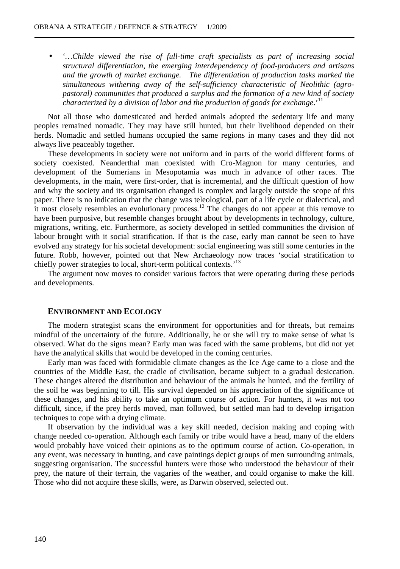• '*…Childe viewed the rise of full-time craft specialists as part of increasing social structural differentiation, the emerging interdependency of food-producers and artisans and the growth of market exchange. The differentiation of production tasks marked the simultaneous withering away of the self-sufficiency characteristic of Neolithic (agropastoral) communities that produced a surplus and the formation of a new kind of society characterized by a division of labor and the production of goods for exchange*.'<sup>11</sup>

Not all those who domesticated and herded animals adopted the sedentary life and many peoples remained nomadic. They may have still hunted, but their livelihood depended on their herds. Nomadic and settled humans occupied the same regions in many cases and they did not always live peaceably together.

These developments in society were not uniform and in parts of the world different forms of society coexisted. Neanderthal man coexisted with Cro-Magnon for many centuries, and development of the Sumerians in Mesopotamia was much in advance of other races. The developments, in the main, were first-order, that is incremental, and the difficult question of how and why the society and its organisation changed is complex and largely outside the scope of this paper. There is no indication that the change was teleological, part of a life cycle or dialectical, and it most closely resembles an evolutionary process.<sup>12</sup> The changes do not appear at this remove to have been purposive, but resemble changes brought about by developments in technology, culture, migrations, writing, etc. Furthermore, as society developed in settled communities the division of labour brought with it social stratification. If that is the case, early man cannot be seen to have evolved any strategy for his societal development: social engineering was still some centuries in the future. Robb, however, pointed out that New Archaeology now traces 'social stratification to chiefly power strategies to local, short-term political contexts.<sup>13</sup>

The argument now moves to consider various factors that were operating during these periods and developments.

#### **ENVIRONMENT AND ECOLOGY**

The modern strategist scans the environment for opportunities and for threats, but remains mindful of the uncertainty of the future. Additionally, he or she will try to make sense of what is observed. What do the signs mean? Early man was faced with the same problems, but did not yet have the analytical skills that would be developed in the coming centuries.

Early man was faced with formidable climate changes as the Ice Age came to a close and the countries of the Middle East, the cradle of civilisation, became subject to a gradual desiccation. These changes altered the distribution and behaviour of the animals he hunted, and the fertility of the soil he was beginning to till. His survival depended on his appreciation of the significance of these changes, and his ability to take an optimum course of action. For hunters, it was not too difficult, since, if the prey herds moved, man followed, but settled man had to develop irrigation techniques to cope with a drying climate.

If observation by the individual was a key skill needed, decision making and coping with change needed co-operation. Although each family or tribe would have a head, many of the elders would probably have voiced their opinions as to the optimum course of action. Co-operation, in any event, was necessary in hunting, and cave paintings depict groups of men surrounding animals, suggesting organisation. The successful hunters were those who understood the behaviour of their prey, the nature of their terrain, the vagaries of the weather, and could organise to make the kill. Those who did not acquire these skills, were, as Darwin observed, selected out.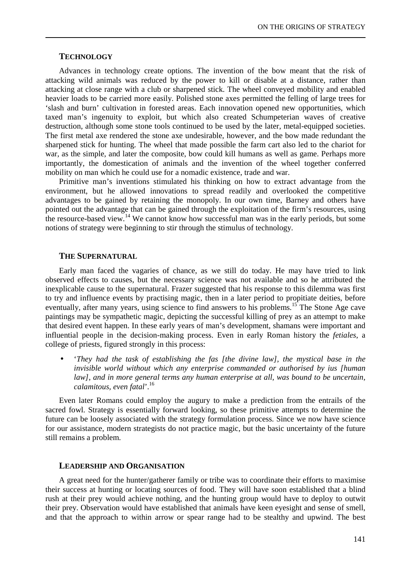#### **TECHNOLOGY**

Advances in technology create options. The invention of the bow meant that the risk of attacking wild animals was reduced by the power to kill or disable at a distance, rather than attacking at close range with a club or sharpened stick. The wheel conveyed mobility and enabled heavier loads to be carried more easily. Polished stone axes permitted the felling of large trees for 'slash and burn' cultivation in forested areas. Each innovation opened new opportunities, which taxed man's ingenuity to exploit, but which also created Schumpeterian waves of creative destruction, although some stone tools continued to be used by the later, metal-equipped societies. The first metal axe rendered the stone axe undesirable, however, and the bow made redundant the sharpened stick for hunting. The wheel that made possible the farm cart also led to the chariot for war, as the simple, and later the composite, bow could kill humans as well as game. Perhaps more importantly, the domestication of animals and the invention of the wheel together conferred mobility on man which he could use for a nomadic existence, trade and war.

Primitive man's inventions stimulated his thinking on how to extract advantage from the environment, but he allowed innovations to spread readily and overlooked the competitive advantages to be gained by retaining the monopoly. In our own time, Barney and others have pointed out the advantage that can be gained through the exploitation of the firm's resources, using the resource-based view.<sup>14</sup> We cannot know how successful man was in the early periods, but some notions of strategy were beginning to stir through the stimulus of technology.

#### **THE SUPERNATURAL**

Early man faced the vagaries of chance, as we still do today. He may have tried to link observed effects to causes, but the necessary science was not available and so he attributed the inexplicable cause to the supernatural. Frazer suggested that his response to this dilemma was first to try and influence events by practising magic, then in a later period to propitiate deities, before eventually, after many years, using science to find answers to his problems.<sup>15</sup> The Stone Age cave paintings may be sympathetic magic, depicting the successful killing of prey as an attempt to make that desired event happen. In these early years of man's development, shamans were important and influential people in the decision-making process. Even in early Roman history the *fetiales*, a college of priests, figured strongly in this process:

• '*They had the task of establishing the fas [the divine law], the mystical base in the invisible world without which any enterprise commanded or authorised by ius [human law], and in more general terms any human enterprise at all, was bound to be uncertain, calamitous, even fatal*'.<sup>16</sup>

Even later Romans could employ the augury to make a prediction from the entrails of the sacred fowl. Strategy is essentially forward looking, so these primitive attempts to determine the future can be loosely associated with the strategy formulation process. Since we now have science for our assistance, modern strategists do not practice magic, but the basic uncertainty of the future still remains a problem.

#### **LEADERSHIP AND ORGANISATION**

A great need for the hunter/gatherer family or tribe was to coordinate their efforts to maximise their success at hunting or locating sources of food. They will have soon established that a blind rush at their prey would achieve nothing, and the hunting group would have to deploy to outwit their prey. Observation would have established that animals have keen eyesight and sense of smell, and that the approach to within arrow or spear range had to be stealthy and upwind. The best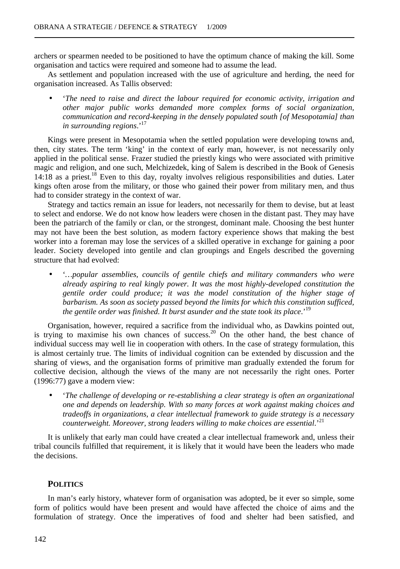archers or spearmen needed to be positioned to have the optimum chance of making the kill. Some organisation and tactics were required and someone had to assume the lead.

As settlement and population increased with the use of agriculture and herding, the need for organisation increased. As Tallis observed:

• '*The need to raise and direct the labour required for economic activity, irrigation and other major public works demanded more complex forms of social organization, communication and record-keeping in the densely populated south [of Mesopotamia] than in surrounding regions.*<sup>17</sup>

Kings were present in Mesopotamia when the settled population were developing towns and, then, city states. The term 'king' in the context of early man, however, is not necessarily only applied in the political sense. Frazer studied the priestly kings who were associated with primitive magic and religion, and one such, Melchizedek, king of Salem is described in the Book of Genesis  $14:18$  as a priest.<sup>18</sup> Even to this day, royalty involves religious responsibilities and duties. Later kings often arose from the military, or those who gained their power from military men, and thus had to consider strategy in the context of war.

Strategy and tactics remain an issue for leaders, not necessarily for them to devise, but at least to select and endorse. We do not know how leaders were chosen in the distant past. They may have been the patriarch of the family or clan, or the strongest, dominant male. Choosing the best hunter may not have been the best solution, as modern factory experience shows that making the best worker into a foreman may lose the services of a skilled operative in exchange for gaining a poor leader. Society developed into gentile and clan groupings and Engels described the governing structure that had evolved:

• '*…popular assemblies, councils of gentile chiefs and military commanders who were already aspiring to real kingly power. It was the most highly-developed constitution the gentile order could produce; it was the model constitution of the higher stage of barbarism. As soon as society passed beyond the limits for which this constitution sufficed, the gentile order was finished. It burst asunder and the state took its place*.'<sup>19</sup>

Organisation, however, required a sacrifice from the individual who, as Dawkins pointed out, is trying to maximise his own chances of success.<sup>20</sup> On the other hand, the best chance of individual success may well lie in cooperation with others. In the case of strategy formulation, this is almost certainly true. The limits of individual cognition can be extended by discussion and the sharing of views, and the organisation forms of primitive man gradually extended the forum for collective decision, although the views of the many are not necessarily the right ones. Porter (1996:77) gave a modern view:

• '*The challenge of developing or re-establishing a clear strategy is often an organizational one and depends on leadership. With so many forces at work against making choices and tradeoffs in organizations, a clear intellectual framework to guide strategy is a necessary counterweight. Moreover, strong leaders willing to make choices are essential.*<sup>21</sup>

It is unlikely that early man could have created a clear intellectual framework and, unless their tribal councils fulfilled that requirement, it is likely that it would have been the leaders who made the decisions.

## **POLITICS**

In man's early history, whatever form of organisation was adopted, be it ever so simple, some form of politics would have been present and would have affected the choice of aims and the formulation of strategy. Once the imperatives of food and shelter had been satisfied, and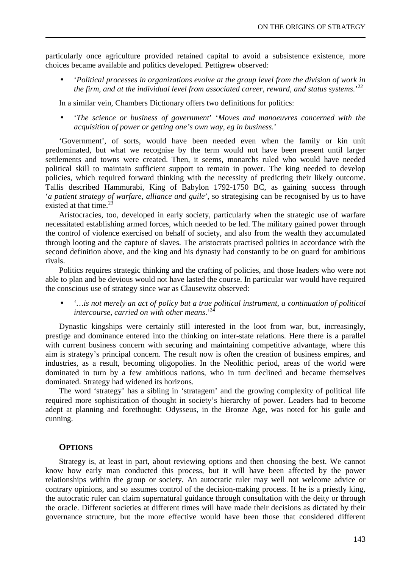particularly once agriculture provided retained capital to avoid a subsistence existence, more choices became available and politics developed. Pettigrew observed:

• '*Political processes in organizations evolve at the group level from the division of work in the firm, and at the individual level from associated career, reward, and status systems*.'<sup>22</sup>

In a similar vein, Chambers Dictionary offers two definitions for politics:

• '*The science or business of government*' '*Moves and manoeuvres concerned with the acquisition of power or getting one's own way, eg in business*.'

'Government', of sorts, would have been needed even when the family or kin unit predominated, but what we recognise by the term would not have been present until larger settlements and towns were created. Then, it seems, monarchs ruled who would have needed political skill to maintain sufficient support to remain in power. The king needed to develop policies, which required forward thinking with the necessity of predicting their likely outcome. Tallis described Hammurabi, King of Babylon 1792-1750 BC, as gaining success through '*a patient strategy of warfare, alliance and guile*', so strategising can be recognised by us to have existed at that time.<sup>3</sup>

Aristocracies, too, developed in early society, particularly when the strategic use of warfare necessitated establishing armed forces, which needed to be led. The military gained power through the control of violence exercised on behalf of society, and also from the wealth they accumulated through looting and the capture of slaves. The aristocrats practised politics in accordance with the second definition above, and the king and his dynasty had constantly to be on guard for ambitious rivals.

Politics requires strategic thinking and the crafting of policies, and those leaders who were not able to plan and be devious would not have lasted the course. In particular war would have required the conscious use of strategy since war as Clausewitz observed:

• '*…is not merely an act of policy but a true political instrument, a continuation of political intercourse, carried on with other means*.'<sup>24</sup>

Dynastic kingships were certainly still interested in the loot from war, but, increasingly, prestige and dominance entered into the thinking on inter-state relations. Here there is a parallel with current business concern with securing and maintaining competitive advantage, where this aim is strategy's principal concern. The result now is often the creation of business empires, and industries, as a result, becoming oligopolies. In the Neolithic period, areas of the world were dominated in turn by a few ambitious nations, who in turn declined and became themselves dominated. Strategy had widened its horizons.

The word 'strategy' has a sibling in 'stratagem' and the growing complexity of political life required more sophistication of thought in society's hierarchy of power. Leaders had to become adept at planning and forethought: Odysseus, in the Bronze Age, was noted for his guile and cunning.

#### **OPTIONS**

Strategy is, at least in part, about reviewing options and then choosing the best. We cannot know how early man conducted this process, but it will have been affected by the power relationships within the group or society. An autocratic ruler may well not welcome advice or contrary opinions, and so assumes control of the decision-making process. If he is a priestly king, the autocratic ruler can claim supernatural guidance through consultation with the deity or through the oracle. Different societies at different times will have made their decisions as dictated by their governance structure, but the more effective would have been those that considered different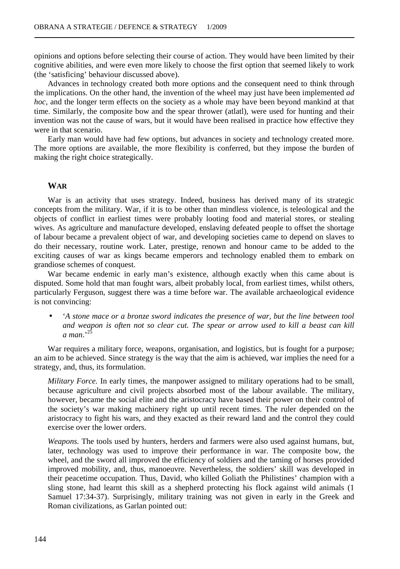opinions and options before selecting their course of action. They would have been limited by their cognitive abilities, and were even more likely to choose the first option that seemed likely to work (the 'satisficing' behaviour discussed above).

Advances in technology created both more options and the consequent need to think through the implications. On the other hand, the invention of the wheel may just have been implemented *ad hoc*, and the longer term effects on the society as a whole may have been beyond mankind at that time. Similarly, the composite bow and the spear thrower (atlatl), were used for hunting and their invention was not the cause of wars, but it would have been realised in practice how effective they were in that scenario.

Early man would have had few options, but advances in society and technology created more. The more options are available, the more flexibility is conferred, but they impose the burden of making the right choice strategically.

#### **WAR**

War is an activity that uses strategy. Indeed, business has derived many of its strategic concepts from the military. War, if it is to be other than mindless violence, is teleological and the objects of conflict in earliest times were probably looting food and material stores, or stealing wives. As agriculture and manufacture developed, enslaving defeated people to offset the shortage of labour became a prevalent object of war, and developing societies came to depend on slaves to do their necessary, routine work. Later, prestige, renown and honour came to be added to the exciting causes of war as kings became emperors and technology enabled them to embark on grandiose schemes of conquest.

War became endemic in early man's existence, although exactly when this came about is disputed. Some hold that man fought wars, albeit probably local, from earliest times, whilst others, particularly Ferguson, suggest there was a time before war. The available archaeological evidence is not convincing:

• '*A stone mace or a bronze sword indicates the presence of war, but the line between tool and weapon is often not so clear cut. The spear or arrow used to kill a beast can kill a man*.'<sup>25</sup>

War requires a military force, weapons, organisation, and logistics, but is fought for a purpose; an aim to be achieved. Since strategy is the way that the aim is achieved, war implies the need for a strategy, and, thus, its formulation.

*Military Force.* In early times, the manpower assigned to military operations had to be small, because agriculture and civil projects absorbed most of the labour available. The military, however, became the social elite and the aristocracy have based their power on their control of the society's war making machinery right up until recent times. The ruler depended on the aristocracy to fight his wars, and they exacted as their reward land and the control they could exercise over the lower orders.

*Weapons.* The tools used by hunters, herders and farmers were also used against humans, but, later, technology was used to improve their performance in war. The composite bow, the wheel, and the sword all improved the efficiency of soldiers and the taming of horses provided improved mobility, and, thus, manoeuvre. Nevertheless, the soldiers' skill was developed in their peacetime occupation. Thus, David, who killed Goliath the Philistines' champion with a sling stone, had learnt this skill as a shepherd protecting his flock against wild animals (1 Samuel 17:34-37). Surprisingly, military training was not given in early in the Greek and Roman civilizations, as Garlan pointed out: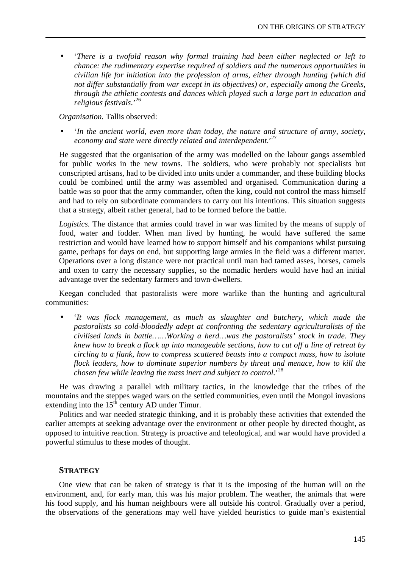• '*There is a twofold reason why formal training had been either neglected or left to chance: the rudimentary expertise required of soldiers and the numerous opportunities in civilian life for initiation into the profession of arms, either through hunting (which did not differ substantially from war except in its objectives) or, especially among the Greeks, through the athletic contests and dances which played such a large part in education and religious festivals*.'<sup>26</sup>

*Organisation.* Tallis observed:

• '*In the ancient world, even more than today, the nature and structure of army, society, economy and state were directly related and interdependent*.'<sup>27</sup>

He suggested that the organisation of the army was modelled on the labour gangs assembled for public works in the new towns. The soldiers, who were probably not specialists but conscripted artisans, had to be divided into units under a commander, and these building blocks could be combined until the army was assembled and organised. Communication during a battle was so poor that the army commander, often the king, could not control the mass himself and had to rely on subordinate commanders to carry out his intentions. This situation suggests that a strategy, albeit rather general, had to be formed before the battle.

*Logistics.* The distance that armies could travel in war was limited by the means of supply of food, water and fodder. When man lived by hunting, he would have suffered the same restriction and would have learned how to support himself and his companions whilst pursuing game, perhaps for days on end, but supporting large armies in the field was a different matter. Operations over a long distance were not practical until man had tamed asses, horses, camels and oxen to carry the necessary supplies, so the nomadic herders would have had an initial advantage over the sedentary farmers and town-dwellers.

Keegan concluded that pastoralists were more warlike than the hunting and agricultural communities:

• '*It was flock management, as much as slaughter and butchery, which made the pastoralists so cold-bloodedly adept at confronting the sedentary agriculturalists of the civilised lands in battle……Working a herd…was the pastoralists' stock in trade. They knew how to break a flock up into manageable sections, how to cut off a line of retreat by circling to a flank, how to compress scattered beasts into a compact mass, how to isolate flock leaders, how to dominate superior numbers by threat and menace, how to kill the chosen few while leaving the mass inert and subject to control.*' 28

He was drawing a parallel with military tactics, in the knowledge that the tribes of the mountains and the steppes waged wars on the settled communities, even until the Mongol invasions extending into the  $15<sup>th</sup>$  century AD under Timur.

Politics and war needed strategic thinking, and it is probably these activities that extended the earlier attempts at seeking advantage over the environment or other people by directed thought, as opposed to intuitive reaction. Strategy is proactive and teleological, and war would have provided a powerful stimulus to these modes of thought.

## **STRATEGY**

One view that can be taken of strategy is that it is the imposing of the human will on the environment, and, for early man, this was his major problem. The weather, the animals that were his food supply, and his human neighbours were all outside his control. Gradually over a period, the observations of the generations may well have yielded heuristics to guide man's existential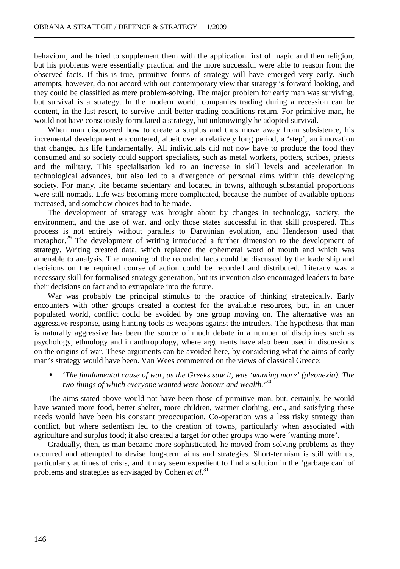behaviour, and he tried to supplement them with the application first of magic and then religion, but his problems were essentially practical and the more successful were able to reason from the observed facts. If this is true, primitive forms of strategy will have emerged very early. Such attempts, however, do not accord with our contemporary view that strategy is forward looking, and they could be classified as mere problem-solving. The major problem for early man was surviving, but survival is a strategy. In the modern world, companies trading during a recession can be content, in the last resort, to survive until better trading conditions return. For primitive man, he would not have consciously formulated a strategy, but unknowingly he adopted survival.

When man discovered how to create a surplus and thus move away from subsistence, his incremental development encountered, albeit over a relatively long period, a 'step', an innovation that changed his life fundamentally. All individuals did not now have to produce the food they consumed and so society could support specialists, such as metal workers, potters, scribes, priests and the military. This specialisation led to an increase in skill levels and acceleration in technological advances, but also led to a divergence of personal aims within this developing society. For many, life became sedentary and located in towns, although substantial proportions were still nomads. Life was becoming more complicated, because the number of available options increased, and somehow choices had to be made.

The development of strategy was brought about by changes in technology, society, the environment, and the use of war, and only those states successful in that skill prospered. This process is not entirely without parallels to Darwinian evolution, and Henderson used that metaphor.<sup>29</sup> The development of writing introduced a further dimension to the development of strategy. Writing created data, which replaced the ephemeral word of mouth and which was amenable to analysis. The meaning of the recorded facts could be discussed by the leadership and decisions on the required course of action could be recorded and distributed. Literacy was a necessary skill for formalised strategy generation, but its invention also encouraged leaders to base their decisions on fact and to extrapolate into the future.

War was probably the principal stimulus to the practice of thinking strategically. Early encounters with other groups created a contest for the available resources, but, in an under populated world, conflict could be avoided by one group moving on. The alternative was an aggressive response, using hunting tools as weapons against the intruders. The hypothesis that man is naturally aggressive has been the source of much debate in a number of disciplines such as psychology, ethnology and in anthropology, where arguments have also been used in discussions on the origins of war. These arguments can be avoided here, by considering what the aims of early man's strategy would have been. Van Wees commented on the views of classical Greece:

## • '*The fundamental cause of war, as the Greeks saw it, was 'wanting more' (pleonexia). The two things of which everyone wanted were honour and wealth.*' 30

The aims stated above would not have been those of primitive man, but, certainly, he would have wanted more food, better shelter, more children, warmer clothing, etc., and satisfying these needs would have been his constant preoccupation. Co-operation was a less risky strategy than conflict, but where sedentism led to the creation of towns, particularly when associated with agriculture and surplus food; it also created a target for other groups who were 'wanting more'.

Gradually, then, as man became more sophisticated, he moved from solving problems as they occurred and attempted to devise long-term aims and strategies. Short-termism is still with us, particularly at times of crisis, and it may seem expedient to find a solution in the 'garbage can' of problems and strategies as envisaged by Cohen *et al*. 31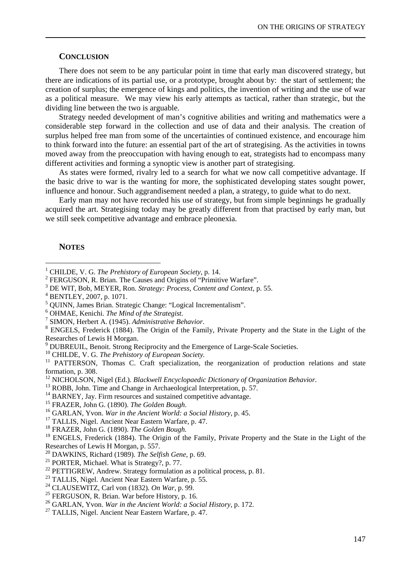#### **CONCLUSION**

There does not seem to be any particular point in time that early man discovered strategy, but there are indications of its partial use, or a prototype, brought about by: the start of settlement; the creation of surplus; the emergence of kings and politics, the invention of writing and the use of war as a political measure. We may view his early attempts as tactical, rather than strategic, but the dividing line between the two is arguable.

Strategy needed development of man's cognitive abilities and writing and mathematics were a considerable step forward in the collection and use of data and their analysis. The creation of surplus helped free man from some of the uncertainties of continued existence, and encourage him to think forward into the future: an essential part of the art of strategising. As the activities in towns moved away from the preoccupation with having enough to eat, strategists had to encompass many different activities and forming a synoptic view is another part of strategising.

As states were formed, rivalry led to a search for what we now call competitive advantage. If the basic drive to war is the wanting for more, the sophisticated developing states sought power, influence and honour. Such aggrandisement needed a plan, a strategy, to guide what to do next.

Early man may not have recorded his use of strategy, but from simple beginnings he gradually acquired the art. Strategising today may be greatly different from that practised by early man, but we still seek competitive advantage and embrace pleonexia.

#### **NOTES**

 $\overline{a}$ 

<sup>10</sup> CHILDE, V. G. *The Prehistory of European Society.*

<sup>11</sup> PATTERSON, Thomas C. Craft specialization, the reorganization of production relations and state formation, p. 308.

- <sup>12</sup> NICHOLSON, Nigel (Ed.). *Blackwell Encyclopaedic Dictionary of Organization Behavior*.
- <sup>13</sup> ROBB, John. Time and Change in Archaeological Interpretation, p. 57.

<sup>16</sup> GARLAN, Yvon. *War in the Ancient World: a Social History*, p. 45.

<sup>20</sup> DAWKINS, Richard (1989). *The Selfish Gene*, p. 69.

<sup>1</sup> CHILDE, V. G. *The Prehistory of European Society*, p. 14.

<sup>2</sup> FERGUSON, R. Brian. The Causes and Origins of "Primitive Warfare".

<sup>3</sup> DE WIT, Bob, MEYER, Ron. *Strategy: Process, Content and Context*, p. 55.

<sup>4</sup> BENTLEY, 2007, p. 1071.

<sup>&</sup>lt;sup>5</sup> QUINN, James Brian. Strategic Change: "Logical Incrementalism".

<sup>6</sup> OHMAE, Kenichi. *The Mind of the Strategist.*

<sup>7</sup> SIMON, Herbert A. (1945). *Administrative Behavior*.

<sup>8</sup> ENGELS, Frederick (1884). The Origin of the Family, Private Property and the State in the Light of the Researches of Lewis H Morgan.

<sup>&</sup>lt;sup>9</sup> DUBREUIL, Benoit. Strong Reciprocity and the Emergence of Large-Scale Societies.

<sup>&</sup>lt;sup>14</sup> BARNEY, Jay. Firm resources and sustained competitive advantage.

<sup>15</sup> FRAZER, John G. (1890). *The Golden Bough*.

<sup>&</sup>lt;sup>17</sup> TALLIS, Nigel. Ancient Near Eastern Warfare, p. 47.

<sup>18</sup> FRAZER, John G. (1890). *The Golden Bough.*

<sup>&</sup>lt;sup>19</sup> ENGELS, Frederick (1884). The Origin of the Family, Private Property and the State in the Light of the Researches of Lewis H Morgan, p. 557.

<sup>21</sup> PORTER, Michael. What is Strategy?, p. 77.

<sup>&</sup>lt;sup>22</sup> PETTIGREW, Andrew. Strategy formulation as a political process, p. 81.

<sup>&</sup>lt;sup>23</sup> TALLIS, Nigel. Ancient Near Eastern Warfare, p. 55.

<sup>24</sup> CLAUSEWITZ, Carl von (1832). *On War*, p. 99.

<sup>&</sup>lt;sup>25</sup> FERGUSON, R. Brian. War before History, p. 16.

<sup>26</sup> GARLAN, Yvon. *War in the Ancient World: a Social History*, p. 172.

<sup>&</sup>lt;sup>27</sup> TALLIS, Nigel. Ancient Near Eastern Warfare, p. 47.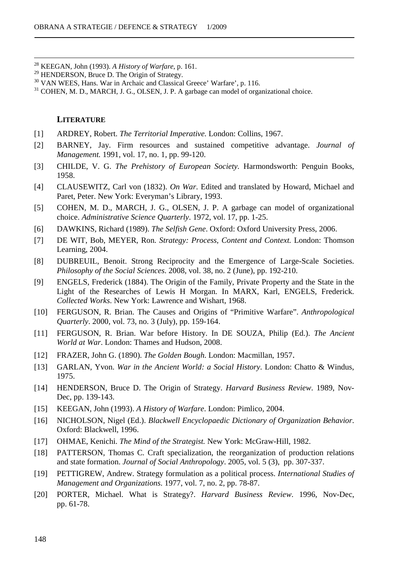<sup>28</sup> KEEGAN, John (1993). *A History of Warfare*, p. 161.

<sup>31</sup> COHEN, M. D., MARCH, J. G., OLSEN, J. P. A garbage can model of organizational choice.

## **LITERATURE**

 $\overline{a}$ 

- [1] ARDREY, Robert. *The Territorial Imperative.* London: Collins, 1967.
- [2] BARNEY, Jay. Firm resources and sustained competitive advantage. *Journal of Management.* 1991, vol. 17, no. 1, pp. 99-120.
- [3] CHILDE, V. G. *The Prehistory of European Society.* Harmondsworth: Penguin Books, 1958.
- [4] CLAUSEWITZ, Carl von (1832). *On War*. Edited and translated by Howard, Michael and Paret, Peter. New York: Everyman's Library, 1993.
- [5] COHEN, M. D., MARCH, J. G., OLSEN, J. P. A garbage can model of organizational choice. *Administrative Science Quarterly*. 1972, vol. 17, pp. 1-25.
- [6] DAWKINS, Richard (1989). *The Selfish Gene*. Oxford: Oxford University Press, 2006.
- [7] DE WIT, Bob, MEYER, Ron. *Strategy: Process, Content and Context.* London: Thomson Learning, 2004.
- [8] DUBREUIL, Benoit. Strong Reciprocity and the Emergence of Large-Scale Societies. *Philosophy of the Social Sciences*. 2008, vol. 38, no. 2 (June), pp. 192-210.
- [9] ENGELS, Frederick (1884). The Origin of the Family, Private Property and the State in the Light of the Researches of Lewis H Morgan. In MARX, Karl, ENGELS, Frederick. *Collected Works*. New York: Lawrence and Wishart, 1968.
- [10] FERGUSON, R. Brian. The Causes and Origins of "Primitive Warfare". *Anthropological Quarterly*. 2000, vol. 73, no. 3 (July), pp. 159-164.
- [11] FERGUSON, R. Brian. War before History. In DE SOUZA, Philip (Ed.). *The Ancient World at War*. London: Thames and Hudson, 2008.
- [12] FRAZER, John G. (1890). *The Golden Bough*. London: Macmillan, 1957.
- [13] GARLAN, Yvon. *War in the Ancient World: a Social History*. London: Chatto & Windus, 1975.
- [14] HENDERSON, Bruce D. The Origin of Strategy. *Harvard Business Review*. 1989, Nov-Dec, pp. 139-143.
- [15] KEEGAN, John (1993). *A History of Warfare*. London: Pimlico, 2004.
- [16] NICHOLSON, Nigel (Ed.). *Blackwell Encyclopaedic Dictionary of Organization Behavior*. Oxford: Blackwell, 1996.
- [17] OHMAE, Kenichi. *The Mind of the Strategist.* New York: McGraw-Hill, 1982.
- [18] PATTERSON, Thomas C. Craft specialization, the reorganization of production relations and state formation. *Journal of Social Anthropology*. 2005, vol. 5 (3), pp. 307-337.
- [19] PETTIGREW, Andrew. Strategy formulation as a political process. *International Studies of Management and Organizations*. 1977, vol. 7, no. 2, pp. 78-87.
- [20] PORTER, Michael. What is Strategy?. *Harvard Business Review*. 1996, Nov-Dec, pp. 61-78.

<sup>&</sup>lt;sup>29</sup> HENDERSON, Bruce D. The Origin of Strategy.

<sup>&</sup>lt;sup>30</sup> VAN WEES, Hans. War in Archaic and Classical Greece' Warfare', p. 116.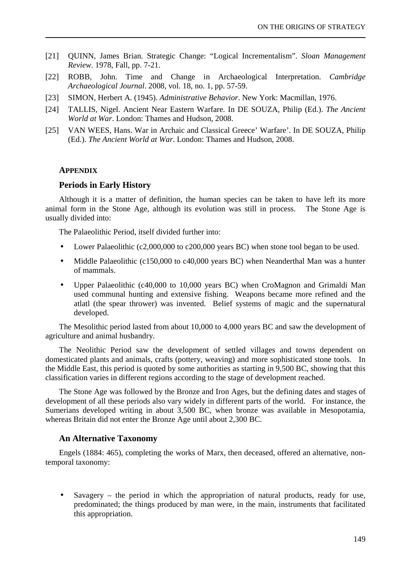- [21] QUINN, James Brian. Strategic Change: "Logical Incrementalism". *Sloan Management Review*. 1978, Fall, pp. 7-21.
- [22] ROBB, John. Time and Change in Archaeological Interpretation. *Cambridge Archaeological Journal*. 2008, vol. 18, no. 1, pp. 57-59.
- [23] SIMON, Herbert A. (1945). *Administrative Behavior*. New York: Macmillan, 1976.
- [24] TALLIS, Nigel. Ancient Near Eastern Warfare. In DE SOUZA, Philip (Ed.). *The Ancient World at War*. London: Thames and Hudson, 2008.
- [25] VAN WEES, Hans. War in Archaic and Classical Greece' Warfare'. In DE SOUZA, Philip (Ed.). *The Ancient World at War*. London: Thames and Hudson, 2008.

### **APPENDIX**

#### **Periods in Early History**

Although it is a matter of definition, the human species can be taken to have left its more animal form in the Stone Age, although its evolution was still in process. The Stone Age is usually divided into:

The Palaeolithic Period, itself divided further into:

- Lower Palaeolithic (c2,000,000 to c200,000 years BC) when stone tool began to be used.
- Middle Palaeolithic (c150,000 to c40,000 years BC) when Neanderthal Man was a hunter of mammals.
- Upper Palaeolithic (c40,000 to 10,000 years BC) when CroMagnon and Grimaldi Man used communal hunting and extensive fishing. Weapons became more refined and the atlatl (the spear thrower) was invented. Belief systems of magic and the supernatural developed.

The Mesolithic period lasted from about 10,000 to 4,000 years BC and saw the development of agriculture and animal husbandry.

The Neolithic Period saw the development of settled villages and towns dependent on domesticated plants and animals, crafts (pottery, weaving) and more sophisticated stone tools. In the Middle East, this period is quoted by some authorities as starting in 9,500 BC, showing that this classification varies in different regions according to the stage of development reached.

The Stone Age was followed by the Bronze and Iron Ages, but the defining dates and stages of development of all these periods also vary widely in different parts of the world. For instance, the Sumerians developed writing in about 3,500 BC, when bronze was available in Mesopotamia, whereas Britain did not enter the Bronze Age until about 2,300 BC.

## **An Alternative Taxonomy**

Engels (1884: 465), completing the works of Marx, then deceased, offered an alternative, nontemporal taxonomy:

• Savagery – the period in which the appropriation of natural products, ready for use, predominated; the things produced by man were, in the main, instruments that facilitated this appropriation.